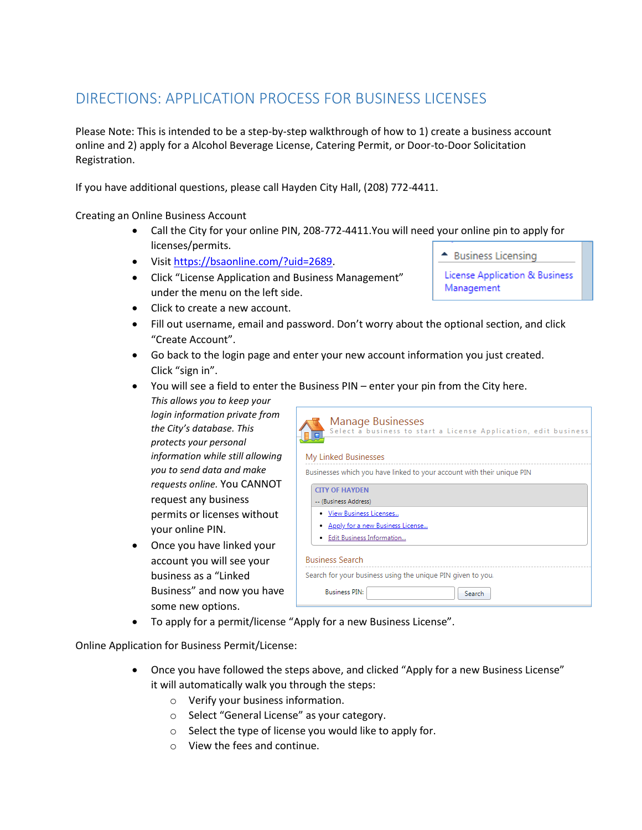## DIRECTIONS: APPLICATION PROCESS FOR BUSINESS LICENSES

Please Note: This is intended to be a step-by-step walkthrough of how to 1) create a business account online and 2) apply for a Alcohol Beverage License, Catering Permit, or Door-to-Door Solicitation Registration.

If you have additional questions, please call Hayden City Hall, (208) 772-4411.

Creating an Online Business Account

- Call the City for your online PIN, 208-772-4411.You will need your online pin to apply for licenses/permits.
- Visit [https://bsaonline.com/?uid=2689.](https://bsaonline.com/?uid=2689)
- Click "License Application and Business Management" under the menu on the left side.
- ← Business Licensing

License Application & Business Management

- Click to create a new account.
- Fill out username, email and password. Don't worry about the optional section, and click "Create Account".
- Go back to the login page and enter your new account information you just created. Click "sign in".
- You will see a field to enter the Business PIN enter your pin from the City here.
- *This allows you to keep your login information private from the City's database. This protects your personal information while still allowing you to send data and make requests online.* You CANNOT request any business permits or licenses without your online PIN.
- Once you have linked your account you will see your business as a "Linked Business" and now you have some new options.

| Manage Businesses<br>Select a business to start a License Application, edit business |
|--------------------------------------------------------------------------------------|
| My Linked Businesses                                                                 |
| Businesses which you have linked to your account with their unique PIN               |
| <b>CITY OF HAYDEN</b>                                                                |
| -- (Business Address)                                                                |
| • View Business Licenses                                                             |
| • Apply for a new Business License                                                   |
| • Edit Business Information                                                          |
| <b>Business Search</b>                                                               |
| Search for your business using the unique PIN given to you.                          |
| <b>Business PIN:</b><br>Search                                                       |

To apply for a permit/license "Apply for a new Business License".

Online Application for Business Permit/License:

- Once you have followed the steps above, and clicked "Apply for a new Business License" it will automatically walk you through the steps:
	- o Verify your business information.
	- o Select "General License" as your category.
	- o Select the type of license you would like to apply for.
	- o View the fees and continue.